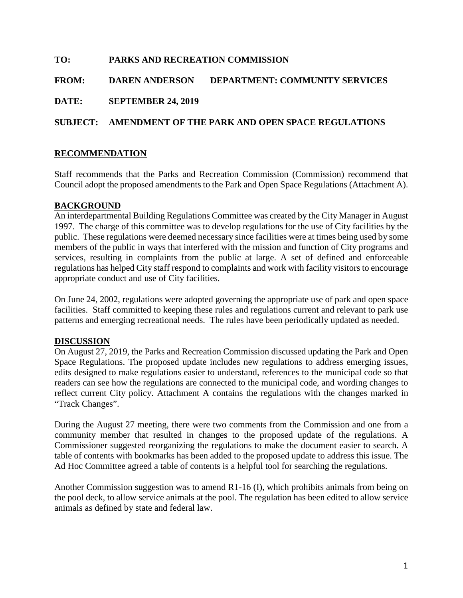# **TO: PARKS AND RECREATION COMMISSION FROM: DAREN ANDERSON DEPARTMENT: COMMUNITY SERVICES DATE: SEPTEMBER 24, 2019 SUBJECT: AMENDMENT OF THE PARK AND OPEN SPACE REGULATIONS**

## **RECOMMENDATION**

Staff recommends that the Parks and Recreation Commission (Commission) recommend that Council adopt the proposed amendments to the Park and Open Space Regulations (Attachment A).

### **BACKGROUND**

An interdepartmental Building Regulations Committee was created by the City Manager in August 1997. The charge of this committee was to develop regulations for the use of City facilities by the public. These regulations were deemed necessary since facilities were at times being used by some members of the public in ways that interfered with the mission and function of City programs and services, resulting in complaints from the public at large. A set of defined and enforceable regulations has helped City staff respond to complaints and work with facility visitors to encourage appropriate conduct and use of City facilities.

On June 24, 2002, regulations were adopted governing the appropriate use of park and open space facilities. Staff committed to keeping these rules and regulations current and relevant to park use patterns and emerging recreational needs. The rules have been periodically updated as needed.

#### **DISCUSSION**

On August 27, 2019, the Parks and Recreation Commission discussed updating the Park and Open Space Regulations. The proposed update includes new regulations to address emerging issues, edits designed to make regulations easier to understand, references to the municipal code so that readers can see how the regulations are connected to the municipal code, and wording changes to reflect current City policy. Attachment A contains the regulations with the changes marked in "Track Changes".

During the August 27 meeting, there were two comments from the Commission and one from a community member that resulted in changes to the proposed update of the regulations. A Commissioner suggested reorganizing the regulations to make the document easier to search. A table of contents with bookmarks has been added to the proposed update to address this issue. The Ad Hoc Committee agreed a table of contents is a helpful tool for searching the regulations.

Another Commission suggestion was to amend R1-16 (I), which prohibits animals from being on the pool deck, to allow service animals at the pool. The regulation has been edited to allow service animals as defined by state and federal law.